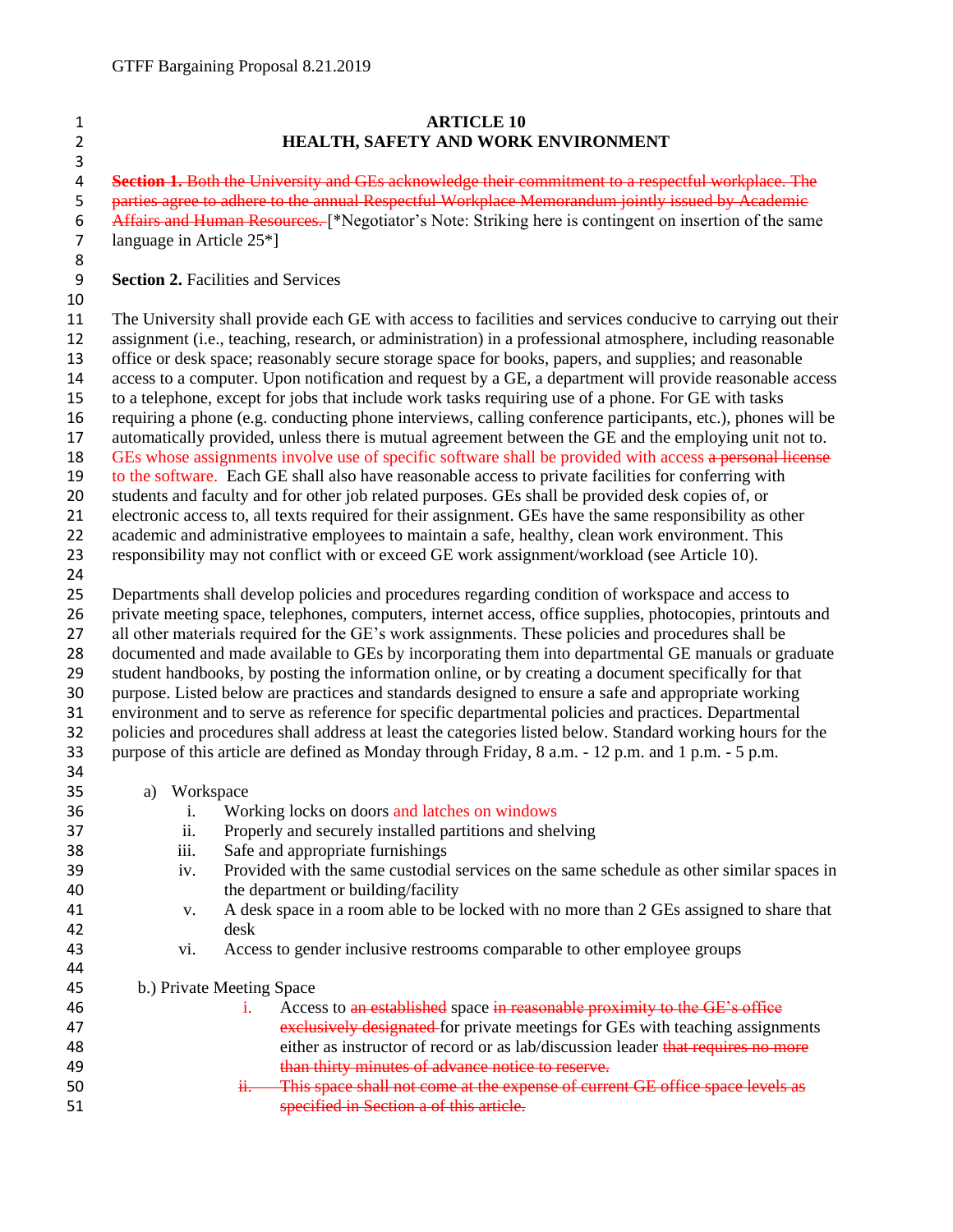## **ARTICLE 10 HEALTH, SAFETY AND WORK ENVIRONMENT**

 **Section 1.** Both the University and GEs acknowledge their commitment to a respectful workplace. The 5 parties agree to adhere to the annual Respectful Workplace Memorandum jointly issued by Academic 6 Affairs and Human Resources. [\*Negotiator's Note: Striking here is contingent on insertion of the same language in Article 25\*]

## **Section 2.** Facilities and Services

## 

 The University shall provide each GE with access to facilities and services conducive to carrying out their assignment (i.e., teaching, research, or administration) in a professional atmosphere, including reasonable office or desk space; reasonably secure storage space for books, papers, and supplies; and reasonable access to a computer. Upon notification and request by a GE, a department will provide reasonable access to a telephone, except for jobs that include work tasks requiring use of a phone. For GE with tasks requiring a phone (e.g. conducting phone interviews, calling conference participants, etc.), phones will be automatically provided, unless there is mutual agreement between the GE and the employing unit not to. 18 GEs whose assignments involve use of specific software shall be provided with access a personal license to the software. Each GE shall also have reasonable access to private facilities for conferring with students and faculty and for other job related purposes. GEs shall be provided desk copies of, or electronic access to, all texts required for their assignment. GEs have the same responsibility as other

 academic and administrative employees to maintain a safe, healthy, clean work environment. This responsibility may not conflict with or exceed GE work assignment/workload (see Article 10).

 Departments shall develop policies and procedures regarding condition of workspace and access to private meeting space, telephones, computers, internet access, office supplies, photocopies, printouts and all other materials required for the GE's work assignments. These policies and procedures shall be documented and made available to GEs by incorporating them into departmental GE manuals or graduate student handbooks, by posting the information online, or by creating a document specifically for that purpose. Listed below are practices and standards designed to ensure a safe and appropriate working environment and to serve as reference for specific departmental policies and practices. Departmental policies and procedures shall address at least the categories listed below. Standard working hours for the purpose of this article are defined as Monday through Friday, 8 a.m. - 12 p.m. and 1 p.m. - 5 p.m. 

a) Workspace

| 36 | 1.   | Working locks on doors and latches on windows                                                   |
|----|------|-------------------------------------------------------------------------------------------------|
| 37 | 11.  | Properly and securely installed partitions and shelving                                         |
| 38 | 111. | Safe and appropriate furnishings                                                                |
| 39 | iv.  | Provided with the same custodial services on the same schedule as other similar spaces in       |
| 40 |      | the department or building/facility                                                             |
| 41 | V.   | A desk space in a room able to be locked with no more than 2 GEs assigned to share that         |
| 42 |      | desk                                                                                            |
| 43 | V1.  | Access to gender inclusive restrooms comparable to other employee groups                        |
| 44 |      |                                                                                                 |
| 45 |      | b.) Private Meeting Space                                                                       |
| 46 |      | Access to an established space in reasonable proximity to the GE's office<br>$\mathbf{1}$ .     |
| 47 |      | exclusively designated for private meetings for GEs with teaching assignments                   |
| 48 |      | either as instructor of record or as lab/discussion leader that requires no more                |
| 49 |      | than thirty minutes of advance notice to reserve.                                               |
| 50 |      | This space shall not come at the expense of current GE office space levels as<br>H <sub>1</sub> |
| 51 |      | specified in Section a of this article                                                          |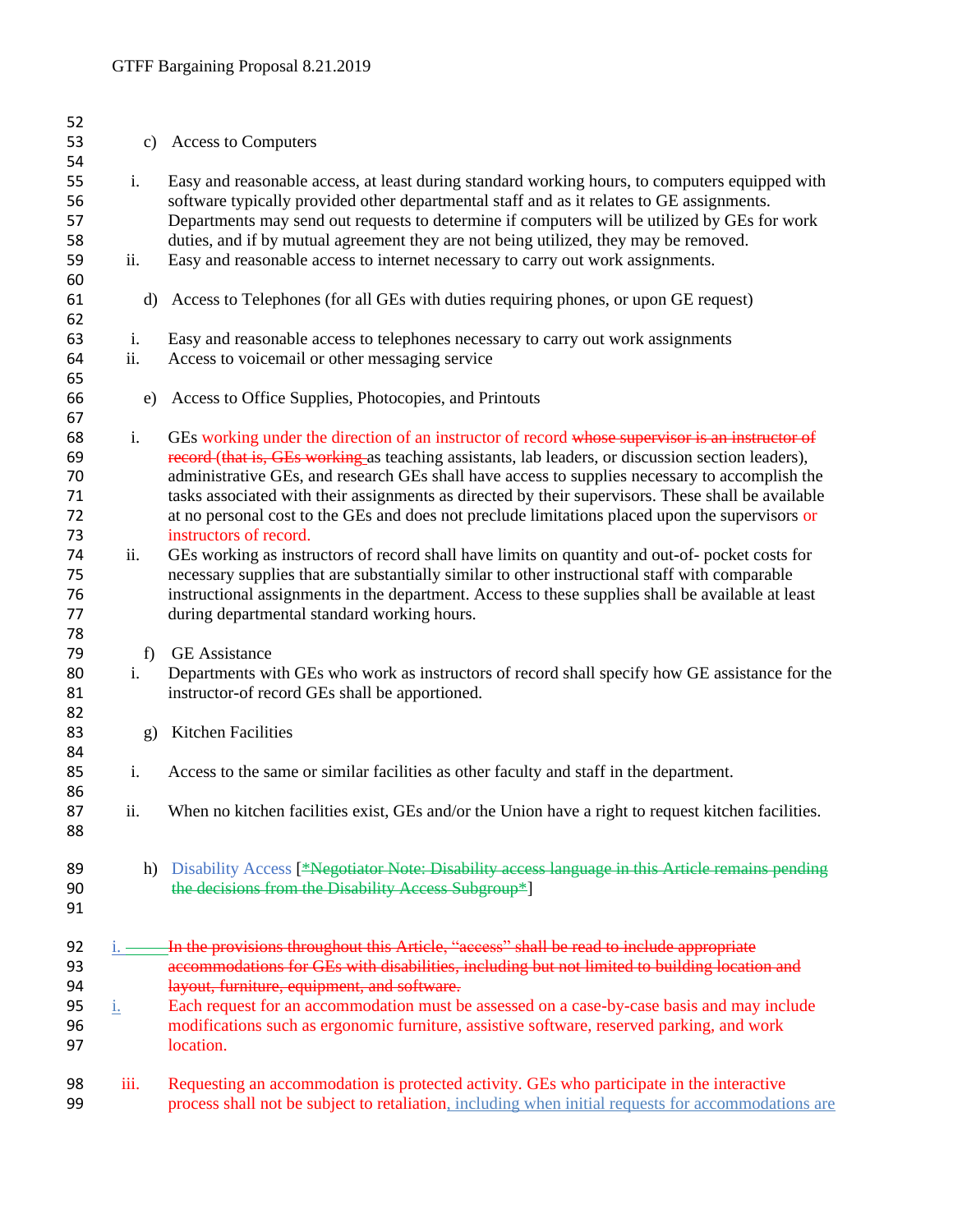| 52       |           |                                                                                                     |
|----------|-----------|-----------------------------------------------------------------------------------------------------|
| 53       | c)        | <b>Access to Computers</b>                                                                          |
| 54       |           |                                                                                                     |
| 55       | i.        | Easy and reasonable access, at least during standard working hours, to computers equipped with      |
| 56       |           | software typically provided other departmental staff and as it relates to GE assignments.           |
| 57       |           | Departments may send out requests to determine if computers will be utilized by GEs for work        |
| 58       |           | duties, and if by mutual agreement they are not being utilized, they may be removed.                |
| 59       | ii.       | Easy and reasonable access to internet necessary to carry out work assignments.                     |
| 60       |           |                                                                                                     |
| 61       | $\rm d$   | Access to Telephones (for all GEs with duties requiring phones, or upon GE request)                 |
| 62       |           |                                                                                                     |
| 63       | i.        | Easy and reasonable access to telephones necessary to carry out work assignments                    |
| 64       | ii.       | Access to voicemail or other messaging service                                                      |
| 65       |           |                                                                                                     |
| 66       | e)        | Access to Office Supplies, Photocopies, and Printouts                                               |
| 67       |           |                                                                                                     |
| 68       | i.        | GEs working under the direction of an instructor of record whose supervisor is an instructor of     |
| 69       |           | record (that is, GEs working as teaching assistants, lab leaders, or discussion section leaders),   |
| 70       |           | administrative GEs, and research GEs shall have access to supplies necessary to accomplish the      |
| 71       |           | tasks associated with their assignments as directed by their supervisors. These shall be available  |
| 72       |           | at no personal cost to the GEs and does not preclude limitations placed upon the supervisors or     |
| 73       |           | instructors of record.                                                                              |
| 74       | ii.       | GEs working as instructors of record shall have limits on quantity and out-of- pocket costs for     |
| 75       |           | necessary supplies that are substantially similar to other instructional staff with comparable      |
| 76       |           | instructional assignments in the department. Access to these supplies shall be available at least   |
| 77       |           | during departmental standard working hours.                                                         |
| 78       |           |                                                                                                     |
| 79       | f)        | <b>GE</b> Assistance                                                                                |
| 80       | i.        | Departments with GEs who work as instructors of record shall specify how GE assistance for the      |
| 81       |           | instructor-of record GEs shall be apportioned.                                                      |
| 82       |           |                                                                                                     |
| 83       | g)        | Kitchen Facilities                                                                                  |
| 84       |           |                                                                                                     |
| 85       | i.        | Access to the same or similar facilities as other faculty and staff in the department.              |
| 86<br>87 | ii.       | When no kitchen facilities exist, GEs and/or the Union have a right to request kitchen facilities.  |
| 88       |           |                                                                                                     |
|          |           |                                                                                                     |
| 89       | h)        | Disability Access [*Negotiator Note: Disability access language in this Article remains pending     |
| 90       |           | the decisions from the Disability Access Subgroup*]                                                 |
| 91       |           |                                                                                                     |
|          |           |                                                                                                     |
| 92       |           | In the provisions throughout this Article, "access" shall be read to include appropriate            |
| 93       |           | accommodations for GEs with disabilities, including but not limited to building location and        |
| 94       |           | layout, furniture, equipment, and software.                                                         |
| 95       | <u>i.</u> | Each request for an accommodation must be assessed on a case-by-case basis and may include          |
| 96       |           | modifications such as ergonomic furniture, assistive software, reserved parking, and work           |
| 97       |           | location.                                                                                           |
|          |           |                                                                                                     |
| 98       | iii.      | Requesting an accommodation is protected activity. GEs who participate in the interactive           |
| 99       |           | process shall not be subject to retaliation, including when initial requests for accommodations are |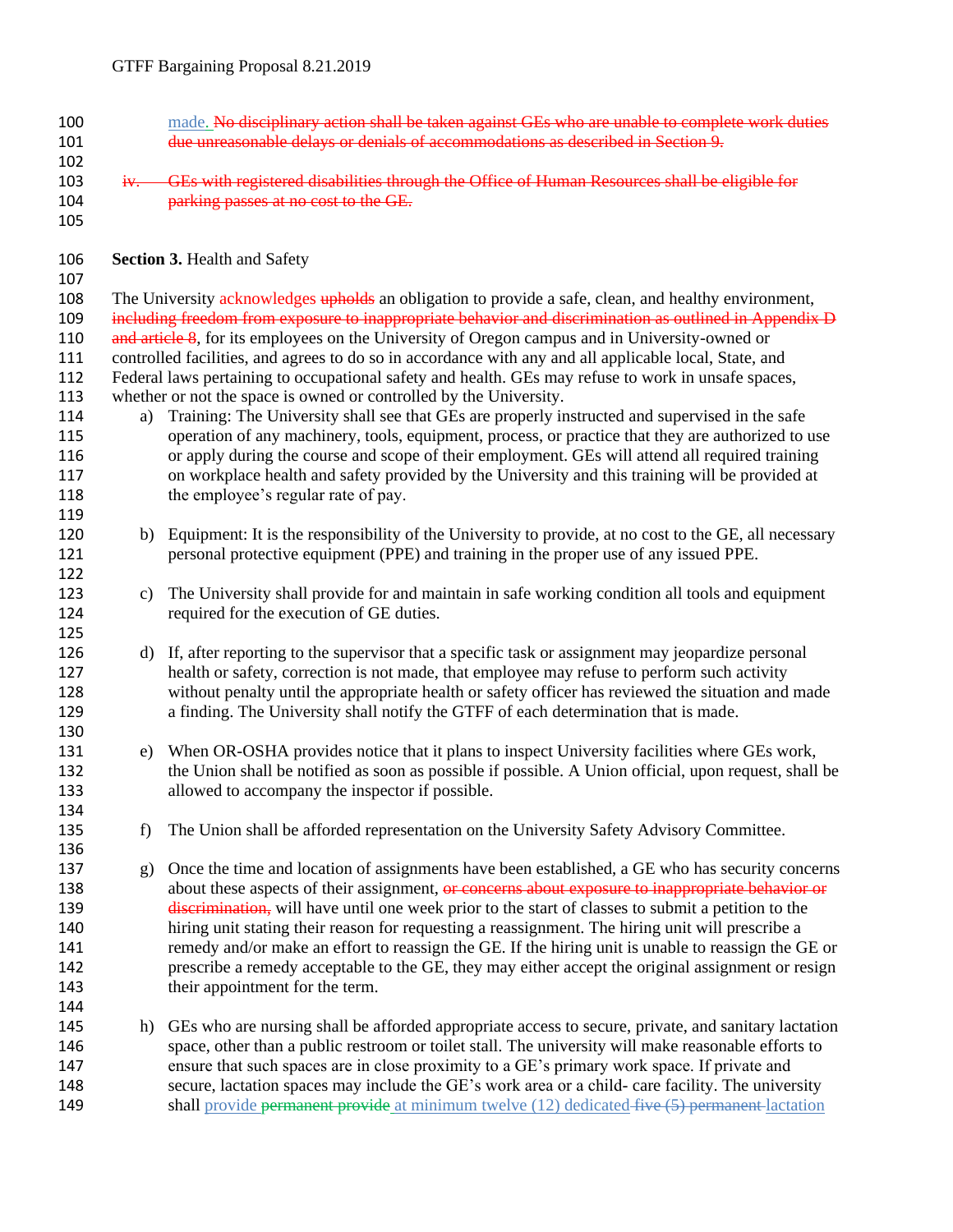- 100 made. No disciplinary action shall be taken against GEs who are unable to complete work duties due unreasonable delays or denials of accommodations as described in Section 9. iv. GEs with registered disabilities through the Office of Human Resources shall be eligible for
- **parking passes at no cost to the GE.**

**Section 3.** Health and Safety

 108 The University acknowledges upholds an obligation to provide a safe, clean, and healthy environment, 109 including freedom from exposure to inappropriate behavior and discrimination as outlined in Appendix D 110 and article 8, for its employees on the University of Oregon campus and in University-owned or controlled facilities, and agrees to do so in accordance with any and all applicable local, State, and Federal laws pertaining to occupational safety and health. GEs may refuse to work in unsafe spaces, whether or not the space is owned or controlled by the University.

- a) Training: The University shall see that GEs are properly instructed and supervised in the safe operation of any machinery, tools, equipment, process, or practice that they are authorized to use or apply during the course and scope of their employment. GEs will attend all required training on workplace health and safety provided by the University and this training will be provided at 118 the employee's regular rate of pay.
- b) Equipment: It is the responsibility of the University to provide, at no cost to the GE, all necessary personal protective equipment (PPE) and training in the proper use of any issued PPE.
- c) The University shall provide for and maintain in safe working condition all tools and equipment required for the execution of GE duties.
- d) If, after reporting to the supervisor that a specific task or assignment may jeopardize personal health or safety, correction is not made, that employee may refuse to perform such activity without penalty until the appropriate health or safety officer has reviewed the situation and made a finding. The University shall notify the GTFF of each determination that is made.
- e) When OR-OSHA provides notice that it plans to inspect University facilities where GEs work, the Union shall be notified as soon as possible if possible. A Union official, upon request, shall be allowed to accompany the inspector if possible.
- 135 f) The Union shall be afforded representation on the University Safety Advisory Committee.
- g) Once the time and location of assignments have been established, a GE who has security concerns 138 about these aspects of their assignment, or concerns about exposure to inappropriate behavior or 139 discrimination, will have until one week prior to the start of classes to submit a petition to the hiring unit stating their reason for requesting a reassignment. The hiring unit will prescribe a 141 remedy and/or make an effort to reassign the GE. If the hiring unit is unable to reassign the GE or prescribe a remedy acceptable to the GE, they may either accept the original assignment or resign their appointment for the term.
- h) GEs who are nursing shall be afforded appropriate access to secure, private, and sanitary lactation space, other than a public restroom or toilet stall. The university will make reasonable efforts to ensure that such spaces are in close proximity to a GE's primary work space. If private and secure, lactation spaces may include the GE's work area or a child- care facility. The university 149 shall provide permanent provide at minimum twelve (12) dedicated five (5) permanent lactation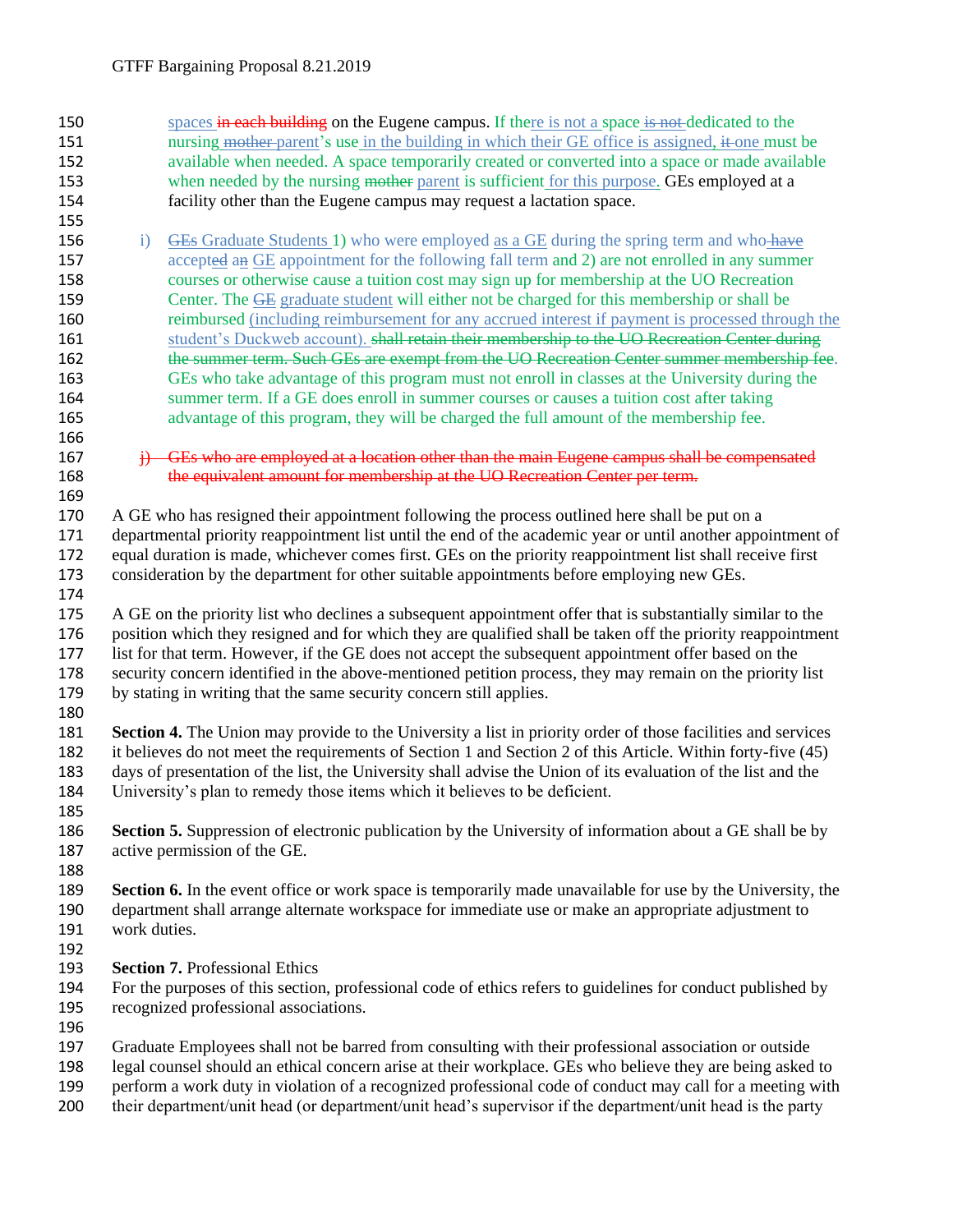150 spaces in each building on the Eugene campus. If there is not a space is not dedicated to the 151 nursing mother parent's use in the building in which their GE office is assigned, it one must be available when needed. A space temporarily created or converted into a space or made available 153 when needed by the nursing mother parent is sufficient for this purpose. GEs employed at a facility other than the Eugene campus may request a lactation space. 156 i) GEs Graduate Students 1) who were employed as a GE during the spring term and who have accepted an GE appointment for the following fall term and 2) are not enrolled in any summer courses or otherwise cause a tuition cost may sign up for membership at the UO Recreation 159 Center. The GE graduate student will either not be charged for this membership or shall be reimbursed (including reimbursement for any accrued interest if payment is processed through the 161 student's Duckweb account). shall retain their membership to the UO Recreation Center during 162 the summer term. Such GEs are exempt from the UO Recreation Center summer membership fee. GEs who take advantage of this program must not enroll in classes at the University during the summer term. If a GE does enroll in summer courses or causes a tuition cost after taking advantage of this program, they will be charged the full amount of the membership fee.  $167 \rightarrow$  i) GEs who are employed at a location other than the main Eugene campus shall be compensated 168 the equivalent amount for membership at the UO Recreation Center per term. 170 A GE who has resigned their appointment following the process outlined here shall be put on a departmental priority reappointment list until the end of the academic year or until another appointment of equal duration is made, whichever comes first. GEs on the priority reappointment list shall receive first consideration by the department for other suitable appointments before employing new GEs. A GE on the priority list who declines a subsequent appointment offer that is substantially similar to the position which they resigned and for which they are qualified shall be taken off the priority reappointment list for that term. However, if the GE does not accept the subsequent appointment offer based on the security concern identified in the above-mentioned petition process, they may remain on the priority list by stating in writing that the same security concern still applies. **Section 4.** The Union may provide to the University a list in priority order of those facilities and services it believes do not meet the requirements of Section 1 and Section 2 of this Article. Within forty-five (45) days of presentation of the list, the University shall advise the Union of its evaluation of the list and the University's plan to remedy those items which it believes to be deficient. **Section 5.** Suppression of electronic publication by the University of information about a GE shall be by active permission of the GE. **Section 6.** In the event office or work space is temporarily made unavailable for use by the University, the department shall arrange alternate workspace for immediate use or make an appropriate adjustment to work duties. **Section 7.** Professional Ethics For the purposes of this section, professional code of ethics refers to guidelines for conduct published by recognized professional associations. Graduate Employees shall not be barred from consulting with their professional association or outside legal counsel should an ethical concern arise at their workplace. GEs who believe they are being asked to perform a work duty in violation of a recognized professional code of conduct may call for a meeting with their department/unit head (or department/unit head's supervisor if the department/unit head is the party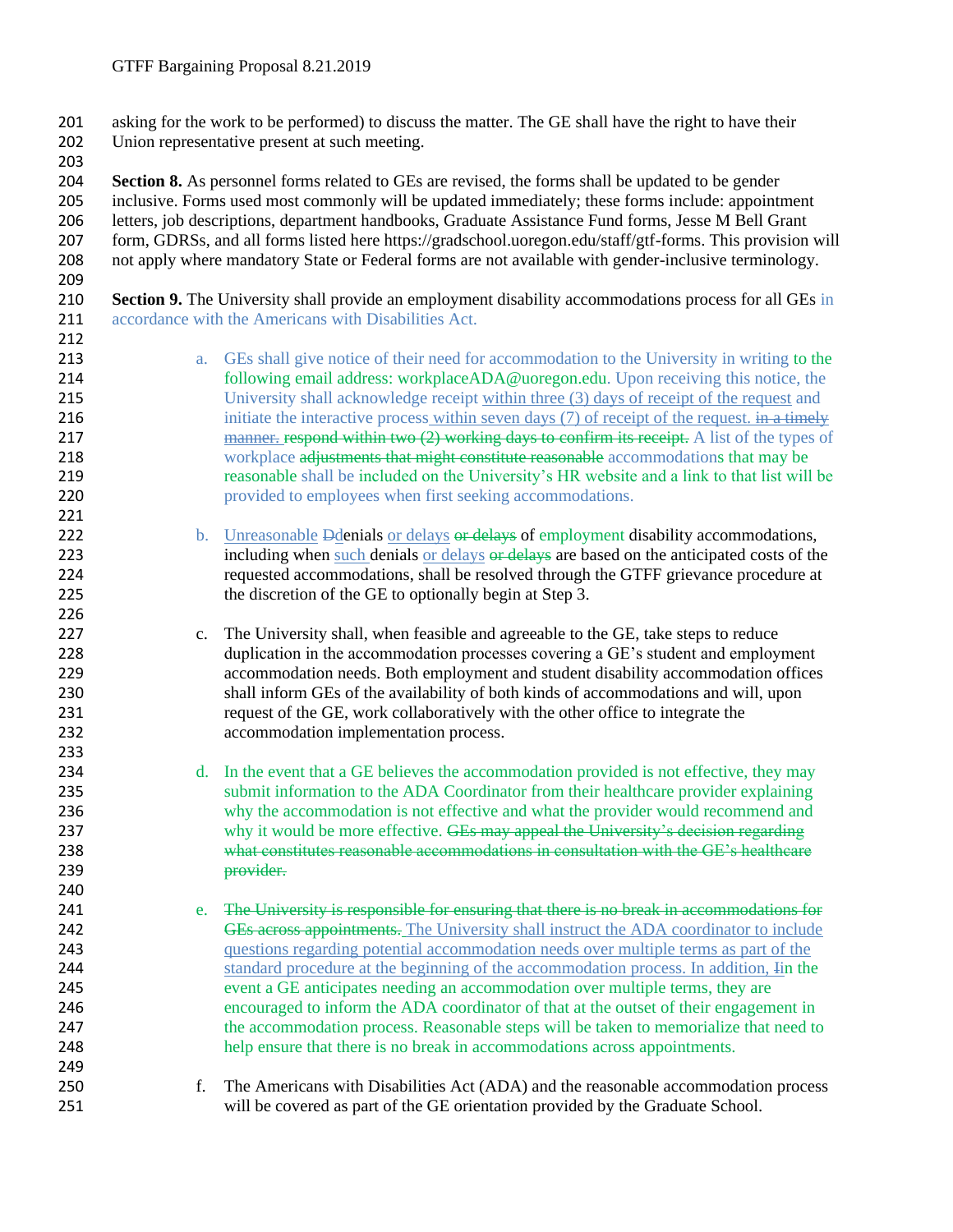asking for the work to be performed) to discuss the matter. The GE shall have the right to have their Union representative present at such meeting.

 **Section 8.** As personnel forms related to GEs are revised, the forms shall be updated to be gender inclusive. Forms used most commonly will be updated immediately; these forms include: appointment letters, job descriptions, department handbooks, Graduate Assistance Fund forms, Jesse M Bell Grant form, GDRSs, and all forms listed here https://gradschool.uoregon.edu/staff/gtf-forms. This provision will not apply where mandatory State or Federal forms are not available with gender-inclusive terminology.

 **Section 9.** The University shall provide an employment disability accommodations process for all GEs in 211 accordance with the Americans with Disabilities Act.

- a. GEs shall give notice of their need for accommodation to the University in writing to the following email address: workplaceADA@uoregon.edu. Upon receiving this notice, the University shall acknowledge receipt within three (3) days of receipt of the request and 216 initiate the interactive process within seven days (7) of receipt of the request. in a timely 217 manner. respond within two (2) working days to confirm its receipt. A list of the types of 218 workplace adjustments that might constitute reasonable accommodations that may be reasonable shall be included on the University's HR website and a link to that list will be provided to employees when first seeking accommodations.
- 222 b. Unreasonable Ddenials or delays or delays of employment disability accommodations, 223 including when such denials or delays or delays are based on the anticipated costs of the requested accommodations, shall be resolved through the GTFF grievance procedure at the discretion of the GE to optionally begin at Step 3.
- 227 c. The University shall, when feasible and agreeable to the GE, take steps to reduce duplication in the accommodation processes covering a GE's student and employment accommodation needs. Both employment and student disability accommodation offices shall inform GEs of the availability of both kinds of accommodations and will, upon request of the GE, work collaboratively with the other office to integrate the accommodation implementation process.
- 234 d. In the event that a GE believes the accommodation provided is not effective, they may submit information to the ADA Coordinator from their healthcare provider explaining why the accommodation is not effective and what the provider would recommend and 237 why it would be more effective. GEs may appeal the University's decision regarding what constitutes reasonable accommodations in consultation with the GE's healthcare provider.
- 241 e. The University is responsible for ensuring that there is no break in accommodations for 242 GEs across appointments. The University shall instruct the ADA coordinator to include questions regarding potential accommodation needs over multiple terms as part of the standard procedure at the beginning of the accommodation process. In addition, Iin the event a GE anticipates needing an accommodation over multiple terms, they are encouraged to inform the ADA coordinator of that at the outset of their engagement in 247 the accommodation process. Reasonable steps will be taken to memorialize that need to help ensure that there is no break in accommodations across appointments.
- f. The Americans with Disabilities Act (ADA) and the reasonable accommodation process will be covered as part of the GE orientation provided by the Graduate School.